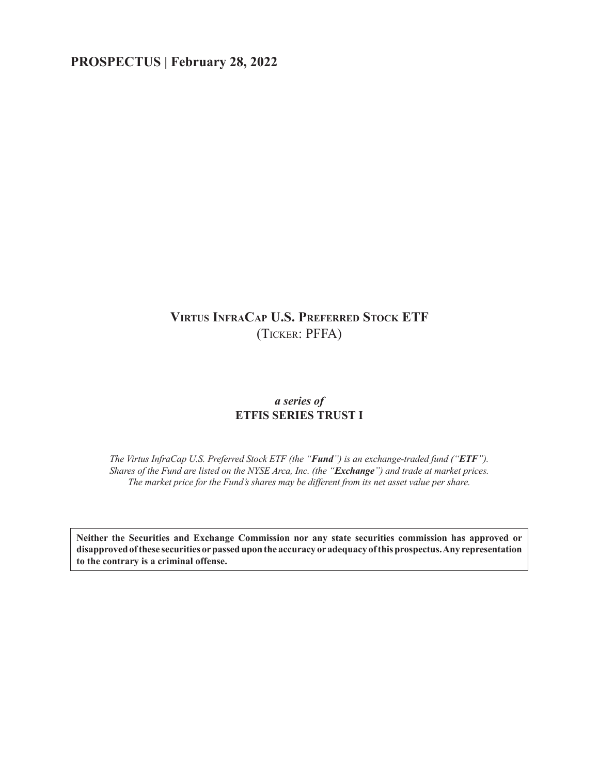# **PROSPECTUS | February 28, 2022**

# **Virtus InfraCap U.S. Preferred Stock ETF** (Ticker: PFFA)

# *a series of* **ETFIS SERIES TRUST I**

*The Virtus InfraCap U.S. Preferred Stock ETF (the "Fund") is an exchange-traded fund ("ETF"). Shares of the Fund are listed on the NYSE Arca, Inc. (the "Exchange") and trade at market prices. The market price for the Fund's shares may be different from its net asset value per share.*

**Neither the Securities and Exchange Commission nor any state securities commission has approved or disapproved of these securities or passed upon the accuracy or adequacy of this prospectus. Any representation to the contrary is a criminal offense.**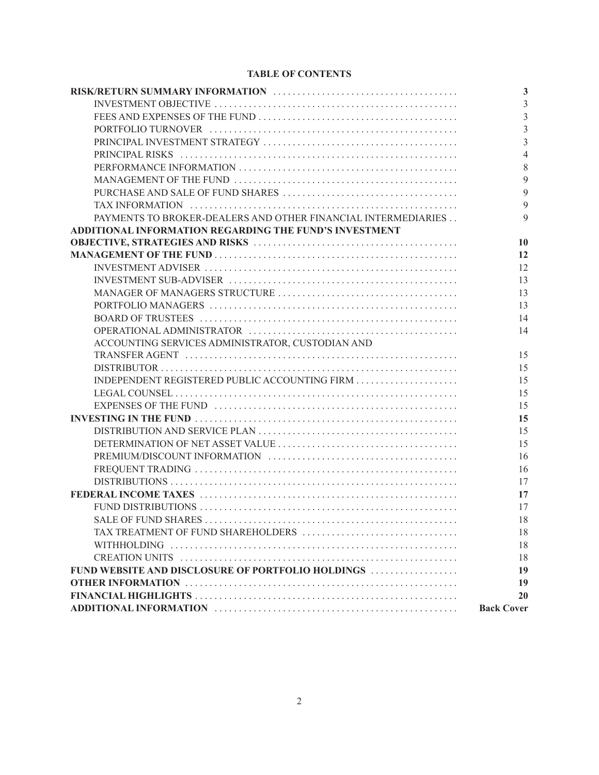# **TABLE OF CONTENTS**

|                                                               | $\mathbf{3}$      |
|---------------------------------------------------------------|-------------------|
|                                                               | 3                 |
|                                                               | 3                 |
|                                                               | $\overline{3}$    |
|                                                               | $\overline{3}$    |
|                                                               | $\overline{4}$    |
|                                                               | 8                 |
|                                                               | 9                 |
|                                                               | 9                 |
|                                                               | $\mathbf{Q}$      |
| PAYMENTS TO BROKER-DEALERS AND OTHER FINANCIAL INTERMEDIARIES | $\mathbf Q$       |
| ADDITIONAL INFORMATION REGARDING THE FUND'S INVESTMENT        |                   |
|                                                               | 10                |
|                                                               | 12                |
|                                                               | 12                |
|                                                               | 13                |
|                                                               | 13                |
|                                                               | 13                |
|                                                               | 14                |
|                                                               | 14                |
| ACCOUNTING SERVICES ADMINISTRATOR, CUSTODIAN AND              |                   |
|                                                               | 15                |
|                                                               | 15                |
|                                                               | 15                |
|                                                               | 15                |
|                                                               | 15                |
|                                                               | 15                |
|                                                               | 15                |
|                                                               | 15                |
|                                                               | 16                |
|                                                               | 16                |
|                                                               | 17                |
|                                                               | 17                |
|                                                               | 17                |
|                                                               | 18                |
|                                                               | 18                |
|                                                               | 18                |
|                                                               | 18                |
| FUND WEBSITE AND DISCLOSURE OF PORTFOLIO HOLDINGS             | 19                |
|                                                               | 19                |
|                                                               | 20                |
|                                                               | <b>Back Cover</b> |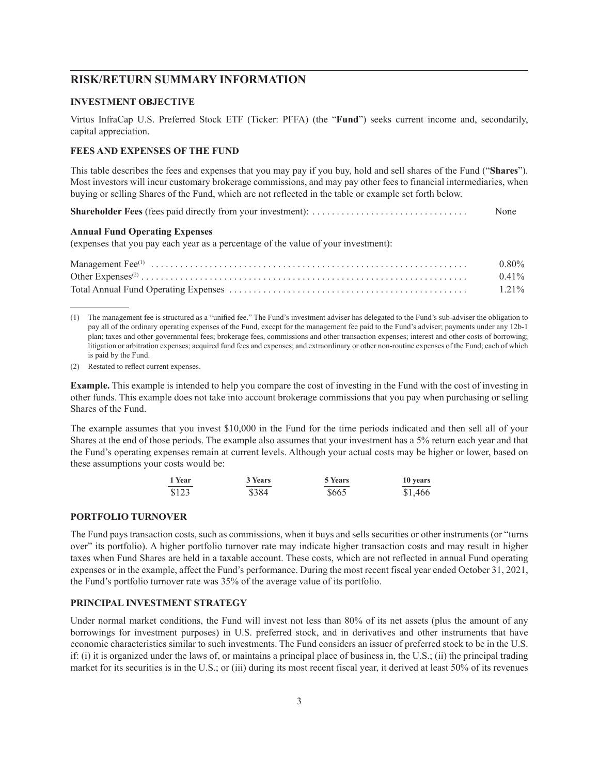# <span id="page-2-0"></span>**RISK/RETURN SUMMARY INFORMATION**

### <span id="page-2-1"></span>**INVESTMENT OBJECTIVE**

Virtus InfraCap U.S. Preferred Stock ETF (Ticker: PFFA) (the "**Fund**") seeks current income and, secondarily, capital appreciation.

## <span id="page-2-2"></span>**FEES AND EXPENSES OF THE FUND**

This table describes the fees and expenses that you may pay if you buy, hold and sell shares of the Fund ("**Shares**"). Most investors will incur customary brokerage commissions, and may pay other fees to financial intermediaries, when buying or selling Shares of the Fund, which are not reflected in the table or example set forth below.

**Shareholder Fees** (fees paid directly from your investment): . . . . . . . . . . . . . . . . . . . . . . . . . . . . . . . . None

#### **Annual Fund Operating Expenses**

(expenses that you pay each year as a percentage of the value of your investment):

| $0.80\%$ |
|----------|
| $0.41\%$ |
| $1.21\%$ |

(1) The management fee is structured as a "unified fee." The Fund's investment adviser has delegated to the Fund's sub-adviser the obligation to pay all of the ordinary operating expenses of the Fund, except for the management fee paid to the Fund's adviser; payments under any 12b-1 plan; taxes and other governmental fees; brokerage fees, commissions and other transaction expenses; interest and other costs of borrowing; litigation or arbitration expenses; acquired fund fees and expenses; and extraordinary or other non-routine expenses of the Fund; each of which is paid by the Fund.

(2) Restated to reflect current expenses.

**Example.** This example is intended to help you compare the cost of investing in the Fund with the cost of investing in other funds. This example does not take into account brokerage commissions that you pay when purchasing or selling Shares of the Fund.

The example assumes that you invest \$10,000 in the Fund for the time periods indicated and then sell all of your Shares at the end of those periods. The example also assumes that your investment has a 5% return each year and that the Fund's operating expenses remain at current levels. Although your actual costs may be higher or lower, based on these assumptions your costs would be:

| 1 Year | 3 Years | 5 Years | 10 years |
|--------|---------|---------|----------|
| \$123  | \$384   | \$665   | \$1,466  |

## <span id="page-2-3"></span>**PORTFOLIO TURNOVER**

The Fund pays transaction costs, such as commissions, when it buys and sells securities or other instruments (or "turns over" its portfolio). A higher portfolio turnover rate may indicate higher transaction costs and may result in higher taxes when Fund Shares are held in a taxable account. These costs, which are not reflected in annual Fund operating expenses or in the example, affect the Fund's performance. During the most recent fiscal year ended October 31, 2021, the Fund's portfolio turnover rate was 35% of the average value of its portfolio.

## <span id="page-2-4"></span>**PRINCIPAL INVESTMENT STRATEGY**

Under normal market conditions, the Fund will invest not less than 80% of its net assets (plus the amount of any borrowings for investment purposes) in U.S. preferred stock, and in derivatives and other instruments that have economic characteristics similar to such investments. The Fund considers an issuer of preferred stock to be in the U.S. if: (i) it is organized under the laws of, or maintains a principal place of business in, the U.S.; (ii) the principal trading market for its securities is in the U.S.; or (iii) during its most recent fiscal year, it derived at least 50% of its revenues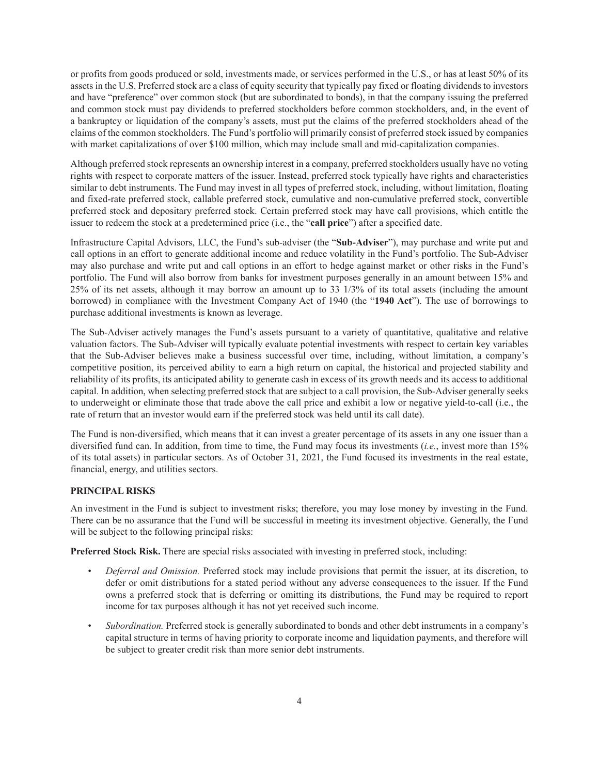or profits from goods produced or sold, investments made, or services performed in the U.S., or has at least 50% of its assets in the U.S. Preferred stock are a class of equity security that typically pay fixed or floating dividends to investors and have "preference" over common stock (but are subordinated to bonds), in that the company issuing the preferred and common stock must pay dividends to preferred stockholders before common stockholders, and, in the event of a bankruptcy or liquidation of the company's assets, must put the claims of the preferred stockholders ahead of the claims of the common stockholders. The Fund's portfolio will primarily consist of preferred stock issued by companies with market capitalizations of over \$100 million, which may include small and mid-capitalization companies.

Although preferred stock represents an ownership interest in a company, preferred stockholders usually have no voting rights with respect to corporate matters of the issuer. Instead, preferred stock typically have rights and characteristics similar to debt instruments. The Fund may invest in all types of preferred stock, including, without limitation, floating and fixed-rate preferred stock, callable preferred stock, cumulative and non-cumulative preferred stock, convertible preferred stock and depositary preferred stock. Certain preferred stock may have call provisions, which entitle the issuer to redeem the stock at a predetermined price (i.e., the "**call price**") after a specified date.

Infrastructure Capital Advisors, LLC, the Fund's sub-adviser (the "**Sub-Adviser**"), may purchase and write put and call options in an effort to generate additional income and reduce volatility in the Fund's portfolio. The Sub-Adviser may also purchase and write put and call options in an effort to hedge against market or other risks in the Fund's portfolio. The Fund will also borrow from banks for investment purposes generally in an amount between 15% and 25% of its net assets, although it may borrow an amount up to 33 1/3% of its total assets (including the amount borrowed) in compliance with the Investment Company Act of 1940 (the "**1940 Act**"). The use of borrowings to purchase additional investments is known as leverage.

The Sub-Adviser actively manages the Fund's assets pursuant to a variety of quantitative, qualitative and relative valuation factors. The Sub-Adviser will typically evaluate potential investments with respect to certain key variables that the Sub-Adviser believes make a business successful over time, including, without limitation, a company's competitive position, its perceived ability to earn a high return on capital, the historical and projected stability and reliability of its profits, its anticipated ability to generate cash in excess of its growth needs and its access to additional capital. In addition, when selecting preferred stock that are subject to a call provision, the Sub-Adviser generally seeks to underweight or eliminate those that trade above the call price and exhibit a low or negative yield-to-call (i.e., the rate of return that an investor would earn if the preferred stock was held until its call date).

The Fund is non-diversified, which means that it can invest a greater percentage of its assets in any one issuer than a diversified fund can. In addition, from time to time, the Fund may focus its investments (*i.e.*, invest more than 15% of its total assets) in particular sectors. As of October 31, 2021, the Fund focused its investments in the real estate, financial, energy, and utilities sectors.

# <span id="page-3-0"></span>**PRINCIPAL RISKS**

An investment in the Fund is subject to investment risks; therefore, you may lose money by investing in the Fund. There can be no assurance that the Fund will be successful in meeting its investment objective. Generally, the Fund will be subject to the following principal risks:

**Preferred Stock Risk.** There are special risks associated with investing in preferred stock, including:

- *Deferral and Omission.* Preferred stock may include provisions that permit the issuer, at its discretion, to defer or omit distributions for a stated period without any adverse consequences to the issuer. If the Fund owns a preferred stock that is deferring or omitting its distributions, the Fund may be required to report income for tax purposes although it has not yet received such income.
- *Subordination.* Preferred stock is generally subordinated to bonds and other debt instruments in a company's capital structure in terms of having priority to corporate income and liquidation payments, and therefore will be subject to greater credit risk than more senior debt instruments.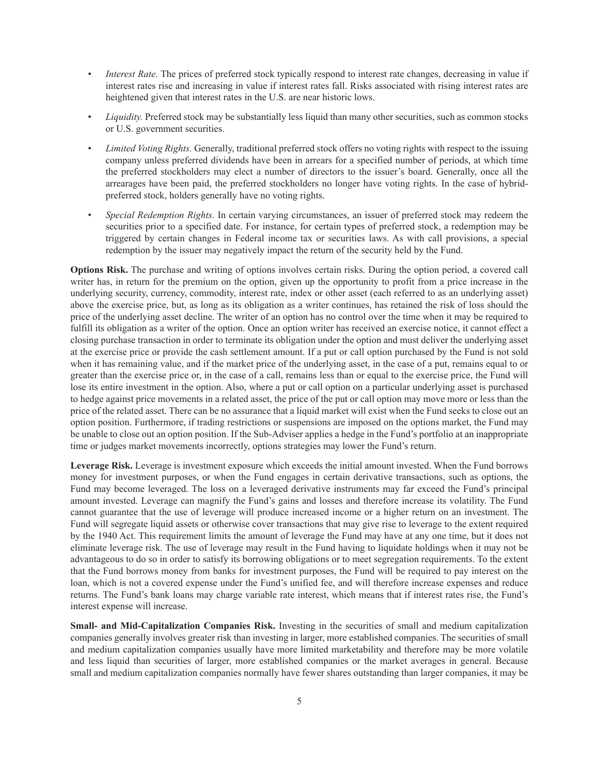- *Interest Rate.* The prices of preferred stock typically respond to interest rate changes, decreasing in value if interest rates rise and increasing in value if interest rates fall. Risks associated with rising interest rates are heightened given that interest rates in the U.S. are near historic lows.
- *Liquidity.* Preferred stock may be substantially less liquid than many other securities, such as common stocks or U.S. government securities.
- *Limited Voting Rights.* Generally, traditional preferred stock offers no voting rights with respect to the issuing company unless preferred dividends have been in arrears for a specified number of periods, at which time the preferred stockholders may elect a number of directors to the issuer's board. Generally, once all the arrearages have been paid, the preferred stockholders no longer have voting rights. In the case of hybridpreferred stock, holders generally have no voting rights.
- *Special Redemption Rights.* In certain varying circumstances, an issuer of preferred stock may redeem the securities prior to a specified date. For instance, for certain types of preferred stock, a redemption may be triggered by certain changes in Federal income tax or securities laws. As with call provisions, a special redemption by the issuer may negatively impact the return of the security held by the Fund.

**Options Risk.** The purchase and writing of options involves certain risks. During the option period, a covered call writer has, in return for the premium on the option, given up the opportunity to profit from a price increase in the underlying security, currency, commodity, interest rate, index or other asset (each referred to as an underlying asset) above the exercise price, but, as long as its obligation as a writer continues, has retained the risk of loss should the price of the underlying asset decline. The writer of an option has no control over the time when it may be required to fulfill its obligation as a writer of the option. Once an option writer has received an exercise notice, it cannot effect a closing purchase transaction in order to terminate its obligation under the option and must deliver the underlying asset at the exercise price or provide the cash settlement amount. If a put or call option purchased by the Fund is not sold when it has remaining value, and if the market price of the underlying asset, in the case of a put, remains equal to or greater than the exercise price or, in the case of a call, remains less than or equal to the exercise price, the Fund will lose its entire investment in the option. Also, where a put or call option on a particular underlying asset is purchased to hedge against price movements in a related asset, the price of the put or call option may move more or less than the price of the related asset. There can be no assurance that a liquid market will exist when the Fund seeks to close out an option position. Furthermore, if trading restrictions or suspensions are imposed on the options market, the Fund may be unable to close out an option position. If the Sub-Adviser applies a hedge in the Fund's portfolio at an inappropriate time or judges market movements incorrectly, options strategies may lower the Fund's return.

**Leverage Risk.** Leverage is investment exposure which exceeds the initial amount invested. When the Fund borrows money for investment purposes, or when the Fund engages in certain derivative transactions, such as options, the Fund may become leveraged. The loss on a leveraged derivative instruments may far exceed the Fund's principal amount invested. Leverage can magnify the Fund's gains and losses and therefore increase its volatility. The Fund cannot guarantee that the use of leverage will produce increased income or a higher return on an investment. The Fund will segregate liquid assets or otherwise cover transactions that may give rise to leverage to the extent required by the 1940 Act. This requirement limits the amount of leverage the Fund may have at any one time, but it does not eliminate leverage risk. The use of leverage may result in the Fund having to liquidate holdings when it may not be advantageous to do so in order to satisfy its borrowing obligations or to meet segregation requirements. To the extent that the Fund borrows money from banks for investment purposes, the Fund will be required to pay interest on the loan, which is not a covered expense under the Fund's unified fee, and will therefore increase expenses and reduce returns. The Fund's bank loans may charge variable rate interest, which means that if interest rates rise, the Fund's interest expense will increase.

**Small- and Mid-Capitalization Companies Risk.** Investing in the securities of small and medium capitalization companies generally involves greater risk than investing in larger, more established companies. The securities of small and medium capitalization companies usually have more limited marketability and therefore may be more volatile and less liquid than securities of larger, more established companies or the market averages in general. Because small and medium capitalization companies normally have fewer shares outstanding than larger companies, it may be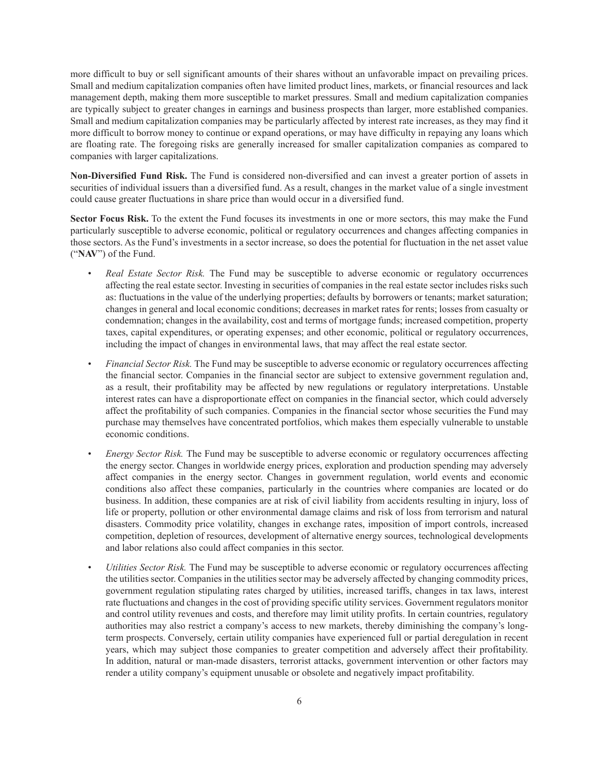more difficult to buy or sell significant amounts of their shares without an unfavorable impact on prevailing prices. Small and medium capitalization companies often have limited product lines, markets, or financial resources and lack management depth, making them more susceptible to market pressures. Small and medium capitalization companies are typically subject to greater changes in earnings and business prospects than larger, more established companies. Small and medium capitalization companies may be particularly affected by interest rate increases, as they may find it more difficult to borrow money to continue or expand operations, or may have difficulty in repaying any loans which are floating rate. The foregoing risks are generally increased for smaller capitalization companies as compared to companies with larger capitalizations.

**Non-Diversified Fund Risk.** The Fund is considered non-diversified and can invest a greater portion of assets in securities of individual issuers than a diversified fund. As a result, changes in the market value of a single investment could cause greater fluctuations in share price than would occur in a diversified fund.

**Sector Focus Risk.** To the extent the Fund focuses its investments in one or more sectors, this may make the Fund particularly susceptible to adverse economic, political or regulatory occurrences and changes affecting companies in those sectors. As the Fund's investments in a sector increase, so does the potential for fluctuation in the net asset value ("**NAV**") of the Fund.

- *Real Estate Sector Risk.* The Fund may be susceptible to adverse economic or regulatory occurrences affecting the real estate sector. Investing in securities of companies in the real estate sector includes risks such as: fluctuations in the value of the underlying properties; defaults by borrowers or tenants; market saturation; changes in general and local economic conditions; decreases in market rates for rents; losses from casualty or condemnation; changes in the availability, cost and terms of mortgage funds; increased competition, property taxes, capital expenditures, or operating expenses; and other economic, political or regulatory occurrences, including the impact of changes in environmental laws, that may affect the real estate sector.
- *Financial Sector Risk.* The Fund may be susceptible to adverse economic or regulatory occurrences affecting the financial sector. Companies in the financial sector are subject to extensive government regulation and, as a result, their profitability may be affected by new regulations or regulatory interpretations. Unstable interest rates can have a disproportionate effect on companies in the financial sector, which could adversely affect the profitability of such companies. Companies in the financial sector whose securities the Fund may purchase may themselves have concentrated portfolios, which makes them especially vulnerable to unstable economic conditions.
- *Energy Sector Risk.* The Fund may be susceptible to adverse economic or regulatory occurrences affecting the energy sector. Changes in worldwide energy prices, exploration and production spending may adversely affect companies in the energy sector. Changes in government regulation, world events and economic conditions also affect these companies, particularly in the countries where companies are located or do business. In addition, these companies are at risk of civil liability from accidents resulting in injury, loss of life or property, pollution or other environmental damage claims and risk of loss from terrorism and natural disasters. Commodity price volatility, changes in exchange rates, imposition of import controls, increased competition, depletion of resources, development of alternative energy sources, technological developments and labor relations also could affect companies in this sector.
- *Utilities Sector Risk.* The Fund may be susceptible to adverse economic or regulatory occurrences affecting the utilities sector. Companies in the utilities sector may be adversely affected by changing commodity prices, government regulation stipulating rates charged by utilities, increased tariffs, changes in tax laws, interest rate fluctuations and changes in the cost of providing specific utility services. Government regulators monitor and control utility revenues and costs, and therefore may limit utility profits. In certain countries, regulatory authorities may also restrict a company's access to new markets, thereby diminishing the company's longterm prospects. Conversely, certain utility companies have experienced full or partial deregulation in recent years, which may subject those companies to greater competition and adversely affect their profitability. In addition, natural or man-made disasters, terrorist attacks, government intervention or other factors may render a utility company's equipment unusable or obsolete and negatively impact profitability.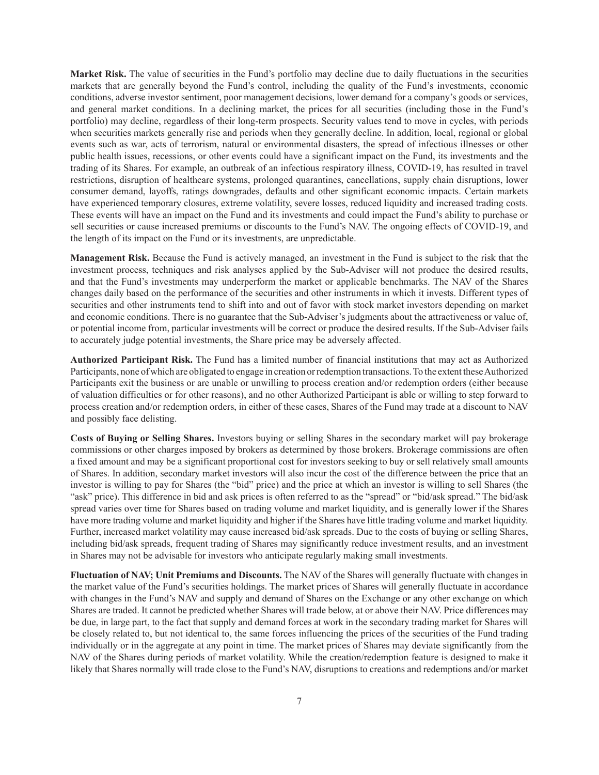**Market Risk.** The value of securities in the Fund's portfolio may decline due to daily fluctuations in the securities markets that are generally beyond the Fund's control, including the quality of the Fund's investments, economic conditions, adverse investor sentiment, poor management decisions, lower demand for a company's goods or services, and general market conditions. In a declining market, the prices for all securities (including those in the Fund's portfolio) may decline, regardless of their long-term prospects. Security values tend to move in cycles, with periods when securities markets generally rise and periods when they generally decline. In addition, local, regional or global events such as war, acts of terrorism, natural or environmental disasters, the spread of infectious illnesses or other public health issues, recessions, or other events could have a significant impact on the Fund, its investments and the trading of its Shares. For example, an outbreak of an infectious respiratory illness, COVID-19, has resulted in travel restrictions, disruption of healthcare systems, prolonged quarantines, cancellations, supply chain disruptions, lower consumer demand, layoffs, ratings downgrades, defaults and other significant economic impacts. Certain markets have experienced temporary closures, extreme volatility, severe losses, reduced liquidity and increased trading costs. These events will have an impact on the Fund and its investments and could impact the Fund's ability to purchase or sell securities or cause increased premiums or discounts to the Fund's NAV. The ongoing effects of COVID-19, and the length of its impact on the Fund or its investments, are unpredictable.

**Management Risk.** Because the Fund is actively managed, an investment in the Fund is subject to the risk that the investment process, techniques and risk analyses applied by the Sub-Adviser will not produce the desired results, and that the Fund's investments may underperform the market or applicable benchmarks. The NAV of the Shares changes daily based on the performance of the securities and other instruments in which it invests. Different types of securities and other instruments tend to shift into and out of favor with stock market investors depending on market and economic conditions. There is no guarantee that the Sub-Adviser's judgments about the attractiveness or value of, or potential income from, particular investments will be correct or produce the desired results. If the Sub-Adviser fails to accurately judge potential investments, the Share price may be adversely affected.

**Authorized Participant Risk.** The Fund has a limited number of financial institutions that may act as Authorized Participants, none of which are obligated to engage in creation or redemption transactions. To the extent these Authorized Participants exit the business or are unable or unwilling to process creation and/or redemption orders (either because of valuation difficulties or for other reasons), and no other Authorized Participant is able or willing to step forward to process creation and/or redemption orders, in either of these cases, Shares of the Fund may trade at a discount to NAV and possibly face delisting.

**Costs of Buying or Selling Shares.** Investors buying or selling Shares in the secondary market will pay brokerage commissions or other charges imposed by brokers as determined by those brokers. Brokerage commissions are often a fixed amount and may be a significant proportional cost for investors seeking to buy or sell relatively small amounts of Shares. In addition, secondary market investors will also incur the cost of the difference between the price that an investor is willing to pay for Shares (the "bid" price) and the price at which an investor is willing to sell Shares (the "ask" price). This difference in bid and ask prices is often referred to as the "spread" or "bid/ask spread." The bid/ask spread varies over time for Shares based on trading volume and market liquidity, and is generally lower if the Shares have more trading volume and market liquidity and higher if the Shares have little trading volume and market liquidity. Further, increased market volatility may cause increased bid/ask spreads. Due to the costs of buying or selling Shares, including bid/ask spreads, frequent trading of Shares may significantly reduce investment results, and an investment in Shares may not be advisable for investors who anticipate regularly making small investments.

**Fluctuation of NAV; Unit Premiums and Discounts.** The NAV of the Shares will generally fluctuate with changes in the market value of the Fund's securities holdings. The market prices of Shares will generally fluctuate in accordance with changes in the Fund's NAV and supply and demand of Shares on the Exchange or any other exchange on which Shares are traded. It cannot be predicted whether Shares will trade below, at or above their NAV. Price differences may be due, in large part, to the fact that supply and demand forces at work in the secondary trading market for Shares will be closely related to, but not identical to, the same forces influencing the prices of the securities of the Fund trading individually or in the aggregate at any point in time. The market prices of Shares may deviate significantly from the NAV of the Shares during periods of market volatility. While the creation/redemption feature is designed to make it likely that Shares normally will trade close to the Fund's NAV, disruptions to creations and redemptions and/or market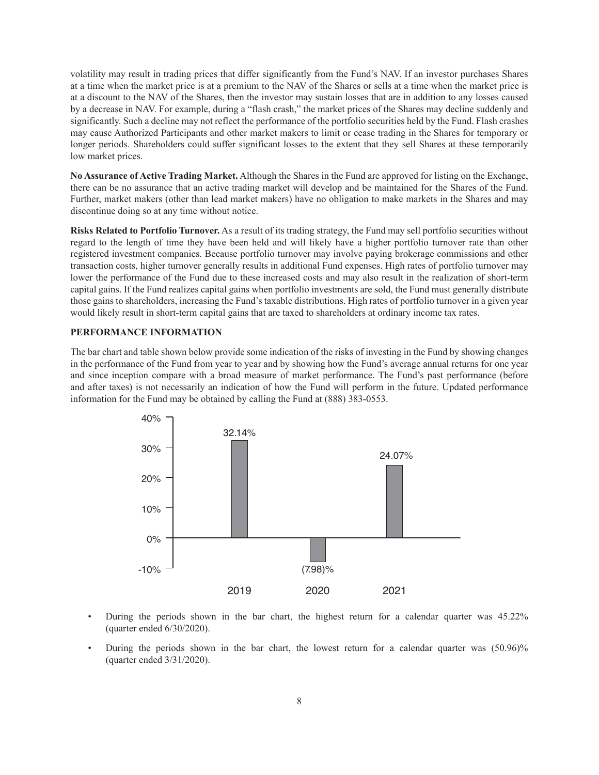volatility may result in trading prices that differ significantly from the Fund's NAV. If an investor purchases Shares at a time when the market price is at a premium to the NAV of the Shares or sells at a time when the market price is at a discount to the NAV of the Shares, then the investor may sustain losses that are in addition to any losses caused by a decrease in NAV. For example, during a "flash crash," the market prices of the Shares may decline suddenly and significantly. Such a decline may not reflect the performance of the portfolio securities held by the Fund. Flash crashes may cause Authorized Participants and other market makers to limit or cease trading in the Shares for temporary or longer periods. Shareholders could suffer significant losses to the extent that they sell Shares at these temporarily low market prices.

**No Assurance of Active Trading Market.** Although the Shares in the Fund are approved for listing on the Exchange, there can be no assurance that an active trading market will develop and be maintained for the Shares of the Fund. Further, market makers (other than lead market makers) have no obligation to make markets in the Shares and may discontinue doing so at any time without notice.

**Risks Related to Portfolio Turnover.** As a result of its trading strategy, the Fund may sell portfolio securities without regard to the length of time they have been held and will likely have a higher portfolio turnover rate than other registered investment companies. Because portfolio turnover may involve paying brokerage commissions and other transaction costs, higher turnover generally results in additional Fund expenses. High rates of portfolio turnover may lower the performance of the Fund due to these increased costs and may also result in the realization of short-term capital gains. If the Fund realizes capital gains when portfolio investments are sold, the Fund must generally distribute those gains to shareholders, increasing the Fund's taxable distributions. High rates of portfolio turnover in a given year would likely result in short-term capital gains that are taxed to shareholders at ordinary income tax rates.

#### <span id="page-7-0"></span>**PERFORMANCE INFORMATION**

The bar chart and table shown below provide some indication of the risks of investing in the Fund by showing changes in the performance of the Fund from year to year and by showing how the Fund's average annual returns for one year and since inception compare with a broad measure of market performance. The Fund's past performance (before and after taxes) is not necessarily an indication of how the Fund will perform in the future. Updated performance information for the Fund may be obtained by calling the Fund at (888) 383-0553.



- During the periods shown in the bar chart, the highest return for a calendar quarter was 45.22% (quarter ended 6/30/2020).
- During the periods shown in the bar chart, the lowest return for a calendar quarter was (50.96)% (quarter ended 3/31/2020).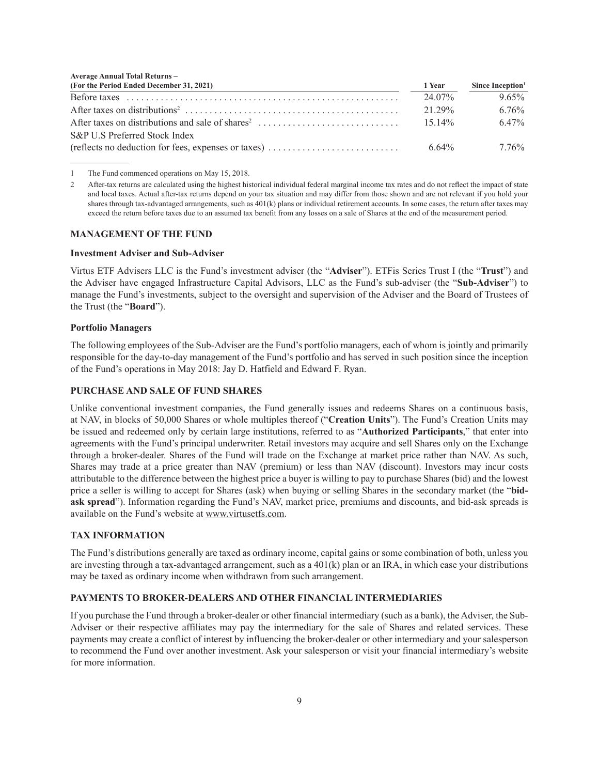| <b>Average Annual Total Returns -</b>                                                                 |          |                              |
|-------------------------------------------------------------------------------------------------------|----------|------------------------------|
| (For the Period Ended December 31, 2021)                                                              | 1 Year   | Since Inception <sup>1</sup> |
|                                                                                                       | 24.07%   | $9.65\%$                     |
| After taxes on distributions <sup>2</sup>                                                             | 21 29%   | $6.76\%$                     |
|                                                                                                       | $1514\%$ | 647%                         |
| S&P U.S Preferred Stock Index                                                                         |          |                              |
| (reflects no deduction for fees, expenses or taxes) $\dots \dots \dots \dots \dots \dots \dots \dots$ | 6.64%    | 7 76%                        |

1 The Fund commenced operations on May 15, 2018.

#### <span id="page-8-0"></span>**MANAGEMENT OF THE FUND**

#### **Investment Adviser and Sub-Adviser**

Virtus ETF Advisers LLC is the Fund's investment adviser (the "**Adviser**"). ETFis Series Trust I (the "**Trust**") and the Adviser have engaged Infrastructure Capital Advisors, LLC as the Fund's sub-adviser (the "**Sub-Adviser**") to manage the Fund's investments, subject to the oversight and supervision of the Adviser and the Board of Trustees of the Trust (the "**Board**").

#### **Portfolio Managers**

The following employees of the Sub-Adviser are the Fund's portfolio managers, each of whom is jointly and primarily responsible for the day-to-day management of the Fund's portfolio and has served in such position since the inception of the Fund's operations in May 2018: Jay D. Hatfield and Edward F. Ryan.

#### <span id="page-8-1"></span>**PURCHASE AND SALE OF FUND SHARES**

Unlike conventional investment companies, the Fund generally issues and redeems Shares on a continuous basis, at NAV, in blocks of 50,000 Shares or whole multiples thereof ("**Creation Units**"). The Fund's Creation Units may be issued and redeemed only by certain large institutions, referred to as "**Authorized Participants**," that enter into agreements with the Fund's principal underwriter. Retail investors may acquire and sell Shares only on the Exchange through a broker-dealer. Shares of the Fund will trade on the Exchange at market price rather than NAV. As such, Shares may trade at a price greater than NAV (premium) or less than NAV (discount). Investors may incur costs attributable to the difference between the highest price a buyer is willing to pay to purchase Shares (bid) and the lowest price a seller is willing to accept for Shares (ask) when buying or selling Shares in the secondary market (the "**bidask spread**"). Information regarding the Fund's NAV, market price, premiums and discounts, and bid-ask spreads is available on the Fund's website at www.virtusetfs.com.

#### <span id="page-8-2"></span>**TAX INFORMATION**

The Fund's distributions generally are taxed as ordinary income, capital gains or some combination of both, unless you are investing through a tax-advantaged arrangement, such as a  $401(k)$  plan or an IRA, in which case your distributions may be taxed as ordinary income when withdrawn from such arrangement.

### <span id="page-8-3"></span>**PAYMENTS TO BROKER-DEALERS AND OTHER FINANCIAL INTERMEDIARIES**

If you purchase the Fund through a broker-dealer or other financial intermediary (such as a bank), the Adviser, the Sub-Adviser or their respective affiliates may pay the intermediary for the sale of Shares and related services. These payments may create a conflict of interest by influencing the broker-dealer or other intermediary and your salesperson to recommend the Fund over another investment. Ask your salesperson or visit your financial intermediary's website for more information.

<sup>2</sup> After-tax returns are calculated using the highest historical individual federal marginal income tax rates and do not reflect the impact of state and local taxes. Actual after-tax returns depend on your tax situation and may differ from those shown and are not relevant if you hold your shares through tax-advantaged arrangements, such as 401(k) plans or individual retirement accounts. In some cases, the return after taxes may exceed the return before taxes due to an assumed tax benefit from any losses on a sale of Shares at the end of the measurement period.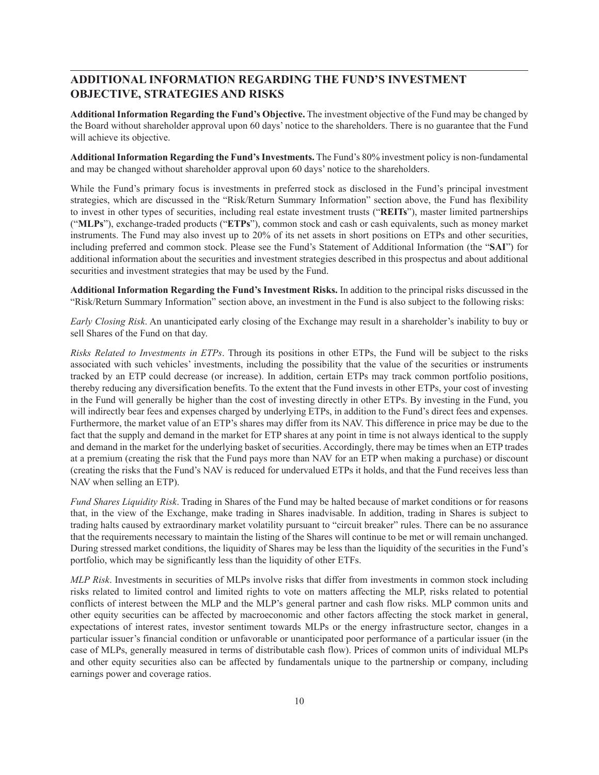# **ADDITIONAL INFORMATION REGARDING THE FUND'S INVESTMENT OBJECTIVE, STRATEGIES AND RISKS**

**Additional Information Regarding the Fund's Objective.** The investment objective of the Fund may be changed by the Board without shareholder approval upon 60 days' notice to the shareholders. There is no guarantee that the Fund will achieve its objective.

**Additional Information Regarding the Fund's Investments.** The Fund's 80% investment policy is non-fundamental and may be changed without shareholder approval upon 60 days' notice to the shareholders.

While the Fund's primary focus is investments in preferred stock as disclosed in the Fund's principal investment strategies, which are discussed in the "Risk/Return Summary Information" section above, the Fund has flexibility to invest in other types of securities, including real estate investment trusts ("**REITs**"), master limited partnerships ("**MLPs**"), exchange-traded products ("**ETPs**"), common stock and cash or cash equivalents, such as money market instruments. The Fund may also invest up to 20% of its net assets in short positions on ETPs and other securities, including preferred and common stock. Please see the Fund's Statement of Additional Information (the "**SAI**") for additional information about the securities and investment strategies described in this prospectus and about additional securities and investment strategies that may be used by the Fund.

**Additional Information Regarding the Fund's Investment Risks.** In addition to the principal risks discussed in the "Risk/Return Summary Information" section above, an investment in the Fund is also subject to the following risks:

*Early Closing Risk*. An unanticipated early closing of the Exchange may result in a shareholder's inability to buy or sell Shares of the Fund on that day.

*Risks Related to Investments in ETPs*. Through its positions in other ETPs, the Fund will be subject to the risks associated with such vehicles' investments, including the possibility that the value of the securities or instruments tracked by an ETP could decrease (or increase). In addition, certain ETPs may track common portfolio positions, thereby reducing any diversification benefits. To the extent that the Fund invests in other ETPs, your cost of investing in the Fund will generally be higher than the cost of investing directly in other ETPs. By investing in the Fund, you will indirectly bear fees and expenses charged by underlying ETPs, in addition to the Fund's direct fees and expenses. Furthermore, the market value of an ETP's shares may differ from its NAV. This difference in price may be due to the fact that the supply and demand in the market for ETP shares at any point in time is not always identical to the supply and demand in the market for the underlying basket of securities. Accordingly, there may be times when an ETP trades at a premium (creating the risk that the Fund pays more than NAV for an ETP when making a purchase) or discount (creating the risks that the Fund's NAV is reduced for undervalued ETPs it holds, and that the Fund receives less than NAV when selling an ETP).

*Fund Shares Liquidity Risk*. Trading in Shares of the Fund may be halted because of market conditions or for reasons that, in the view of the Exchange, make trading in Shares inadvisable. In addition, trading in Shares is subject to trading halts caused by extraordinary market volatility pursuant to "circuit breaker" rules. There can be no assurance that the requirements necessary to maintain the listing of the Shares will continue to be met or will remain unchanged. During stressed market conditions, the liquidity of Shares may be less than the liquidity of the securities in the Fund's portfolio, which may be significantly less than the liquidity of other ETFs.

*MLP Risk*. Investments in securities of MLPs involve risks that differ from investments in common stock including risks related to limited control and limited rights to vote on matters affecting the MLP, risks related to potential conflicts of interest between the MLP and the MLP's general partner and cash flow risks. MLP common units and other equity securities can be affected by macroeconomic and other factors affecting the stock market in general, expectations of interest rates, investor sentiment towards MLPs or the energy infrastructure sector, changes in a particular issuer's financial condition or unfavorable or unanticipated poor performance of a particular issuer (in the case of MLPs, generally measured in terms of distributable cash flow). Prices of common units of individual MLPs and other equity securities also can be affected by fundamentals unique to the partnership or company, including earnings power and coverage ratios.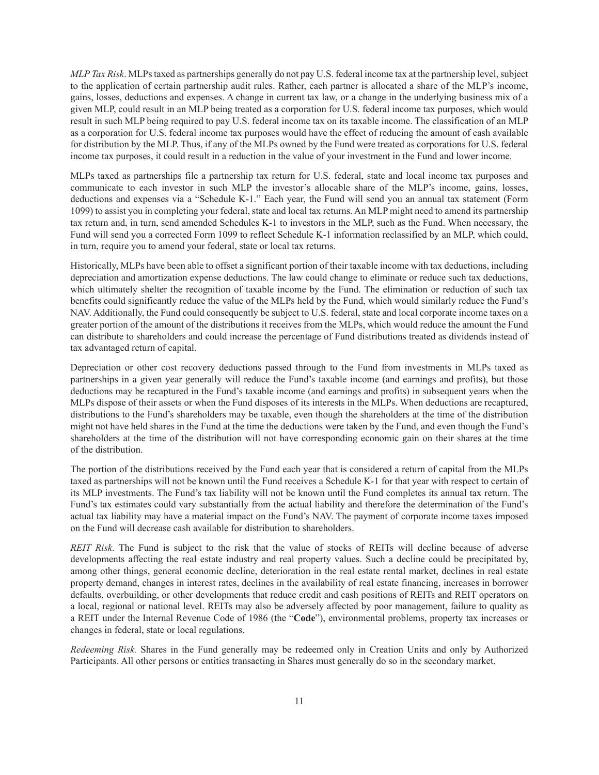*MLP Tax Risk*. MLPs taxed as partnerships generally do not pay U.S. federal income tax at the partnership level, subject to the application of certain partnership audit rules. Rather, each partner is allocated a share of the MLP's income, gains, losses, deductions and expenses. A change in current tax law, or a change in the underlying business mix of a given MLP, could result in an MLP being treated as a corporation for U.S. federal income tax purposes, which would result in such MLP being required to pay U.S. federal income tax on its taxable income. The classification of an MLP as a corporation for U.S. federal income tax purposes would have the effect of reducing the amount of cash available for distribution by the MLP. Thus, if any of the MLPs owned by the Fund were treated as corporations for U.S. federal income tax purposes, it could result in a reduction in the value of your investment in the Fund and lower income.

MLPs taxed as partnerships file a partnership tax return for U.S. federal, state and local income tax purposes and communicate to each investor in such MLP the investor's allocable share of the MLP's income, gains, losses, deductions and expenses via a "Schedule K-1." Each year, the Fund will send you an annual tax statement (Form 1099) to assist you in completing your federal, state and local tax returns. An MLP might need to amend its partnership tax return and, in turn, send amended Schedules K-1 to investors in the MLP, such as the Fund. When necessary, the Fund will send you a corrected Form 1099 to reflect Schedule K-1 information reclassified by an MLP, which could, in turn, require you to amend your federal, state or local tax returns.

Historically, MLPs have been able to offset a significant portion of their taxable income with tax deductions, including depreciation and amortization expense deductions. The law could change to eliminate or reduce such tax deductions, which ultimately shelter the recognition of taxable income by the Fund. The elimination or reduction of such tax benefits could significantly reduce the value of the MLPs held by the Fund, which would similarly reduce the Fund's NAV. Additionally, the Fund could consequently be subject to U.S. federal, state and local corporate income taxes on a greater portion of the amount of the distributions it receives from the MLPs, which would reduce the amount the Fund can distribute to shareholders and could increase the percentage of Fund distributions treated as dividends instead of tax advantaged return of capital.

Depreciation or other cost recovery deductions passed through to the Fund from investments in MLPs taxed as partnerships in a given year generally will reduce the Fund's taxable income (and earnings and profits), but those deductions may be recaptured in the Fund's taxable income (and earnings and profits) in subsequent years when the MLPs dispose of their assets or when the Fund disposes of its interests in the MLPs. When deductions are recaptured, distributions to the Fund's shareholders may be taxable, even though the shareholders at the time of the distribution might not have held shares in the Fund at the time the deductions were taken by the Fund, and even though the Fund's shareholders at the time of the distribution will not have corresponding economic gain on their shares at the time of the distribution.

The portion of the distributions received by the Fund each year that is considered a return of capital from the MLPs taxed as partnerships will not be known until the Fund receives a Schedule K-1 for that year with respect to certain of its MLP investments. The Fund's tax liability will not be known until the Fund completes its annual tax return. The Fund's tax estimates could vary substantially from the actual liability and therefore the determination of the Fund's actual tax liability may have a material impact on the Fund's NAV. The payment of corporate income taxes imposed on the Fund will decrease cash available for distribution to shareholders.

*REIT Risk*. The Fund is subject to the risk that the value of stocks of REITs will decline because of adverse developments affecting the real estate industry and real property values. Such a decline could be precipitated by, among other things, general economic decline, deterioration in the real estate rental market, declines in real estate property demand, changes in interest rates, declines in the availability of real estate financing, increases in borrower defaults, overbuilding, or other developments that reduce credit and cash positions of REITs and REIT operators on a local, regional or national level. REITs may also be adversely affected by poor management, failure to quality as a REIT under the Internal Revenue Code of 1986 (the "**Code**"), environmental problems, property tax increases or changes in federal, state or local regulations.

*Redeeming Risk.* Shares in the Fund generally may be redeemed only in Creation Units and only by Authorized Participants. All other persons or entities transacting in Shares must generally do so in the secondary market.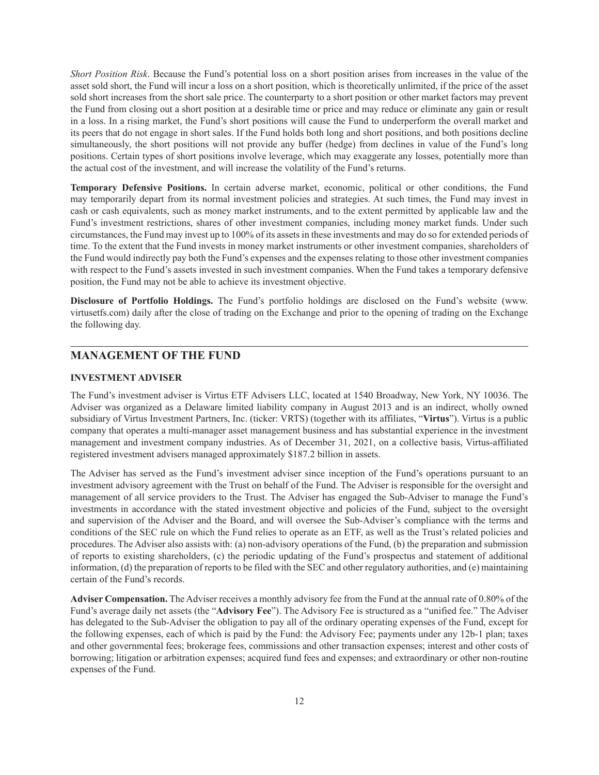*Short Position Risk*. Because the Fund's potential loss on a short position arises from increases in the value of the asset sold short, the Fund will incur a loss on a short position, which is theoretically unlimited, if the price of the asset sold short increases from the short sale price. The counterparty to a short position or other market factors may prevent the Fund from closing out a short position at a desirable time or price and may reduce or eliminate any gain or result in a loss. In a rising market, the Fund's short positions will cause the Fund to underperform the overall market and its peers that do not engage in short sales. If the Fund holds both long and short positions, and both positions decline simultaneously, the short positions will not provide any buffer (hedge) from declines in value of the Fund's long positions. Certain types of short positions involve leverage, which may exaggerate any losses, potentially more than the actual cost of the investment, and will increase the volatility of the Fund's returns.

**Temporary Defensive Positions.** In certain adverse market, economic, political or other conditions, the Fund may temporarily depart from its normal investment policies and strategies. At such times, the Fund may invest in cash or cash equivalents, such as money market instruments, and to the extent permitted by applicable law and the Fund's investment restrictions, shares of other investment companies, including money market funds. Under such circumstances, the Fund may invest up to 100% of its assets in these investments and may do so for extended periods of time. To the extent that the Fund invests in money market instruments or other investment companies, shareholders of the Fund would indirectly pay both the Fund's expenses and the expenses relating to those other investment companies with respect to the Fund's assets invested in such investment companies. When the Fund takes a temporary defensive position, the Fund may not be able to achieve its investment objective.

**Disclosure of Portfolio Holdings.** The Fund's portfolio holdings are disclosed on the Fund's website (www. virtusetfs.com) daily after the close of trading on the Exchange and prior to the opening of trading on the Exchange the following day.

# <span id="page-11-0"></span>**MANAGEMENT OF THE FUND**

### <span id="page-11-1"></span>**INVESTMENT ADVISER**

The Fund's investment adviser is Virtus ETF Advisers LLC, located at 1540 Broadway, New York, NY 10036. The Adviser was organized as a Delaware limited liability company in August 2013 and is an indirect, wholly owned subsidiary of Virtus Investment Partners, Inc. (ticker: VRTS) (together with its affiliates, "**Virtus**"). Virtus is a public company that operates a multi-manager asset management business and has substantial experience in the investment management and investment company industries. As of December 31, 2021, on a collective basis, Virtus-affiliated registered investment advisers managed approximately \$187.2 billion in assets.

The Adviser has served as the Fund's investment adviser since inception of the Fund's operations pursuant to an investment advisory agreement with the Trust on behalf of the Fund. The Adviser is responsible for the oversight and management of all service providers to the Trust. The Adviser has engaged the Sub-Adviser to manage the Fund's investments in accordance with the stated investment objective and policies of the Fund, subject to the oversight and supervision of the Adviser and the Board, and will oversee the Sub-Adviser's compliance with the terms and conditions of the SEC rule on which the Fund relies to operate as an ETF, as well as the Trust's related policies and procedures. The Adviser also assists with: (a) non-advisory operations of the Fund, (b) the preparation and submission of reports to existing shareholders, (c) the periodic updating of the Fund's prospectus and statement of additional information, (d) the preparation of reports to be filed with the SEC and other regulatory authorities, and (e) maintaining certain of the Fund's records.

**Adviser Compensation.** The Adviser receives a monthly advisory fee from the Fund at the annual rate of 0.80% of the Fund's average daily net assets (the "**Advisory Fee**"). The Advisory Fee is structured as a "unified fee." The Adviser has delegated to the Sub-Adviser the obligation to pay all of the ordinary operating expenses of the Fund, except for the following expenses, each of which is paid by the Fund: the Advisory Fee; payments under any 12b-1 plan; taxes and other governmental fees; brokerage fees, commissions and other transaction expenses; interest and other costs of borrowing; litigation or arbitration expenses; acquired fund fees and expenses; and extraordinary or other non-routine expenses of the Fund.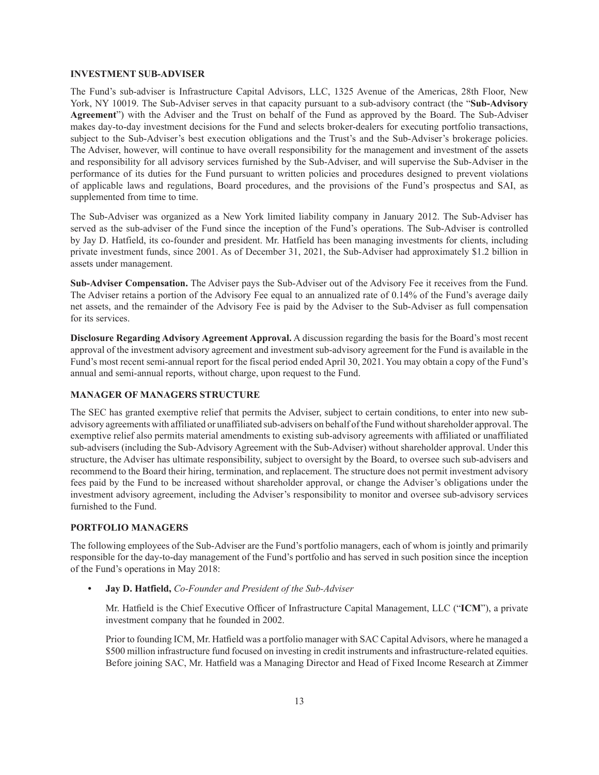#### <span id="page-12-0"></span>**INVESTMENT SUB-ADVISER**

The Fund's sub-adviser is Infrastructure Capital Advisors, LLC, 1325 Avenue of the Americas, 28th Floor, New York, NY 10019. The Sub-Adviser serves in that capacity pursuant to a sub-advisory contract (the "**Sub-Advisory Agreement**") with the Adviser and the Trust on behalf of the Fund as approved by the Board. The Sub-Adviser makes day-to-day investment decisions for the Fund and selects broker-dealers for executing portfolio transactions, subject to the Sub-Adviser's best execution obligations and the Trust's and the Sub-Adviser's brokerage policies. The Adviser, however, will continue to have overall responsibility for the management and investment of the assets and responsibility for all advisory services furnished by the Sub-Adviser, and will supervise the Sub-Adviser in the performance of its duties for the Fund pursuant to written policies and procedures designed to prevent violations of applicable laws and regulations, Board procedures, and the provisions of the Fund's prospectus and SAI, as supplemented from time to time.

The Sub-Adviser was organized as a New York limited liability company in January 2012. The Sub-Adviser has served as the sub-adviser of the Fund since the inception of the Fund's operations. The Sub-Adviser is controlled by Jay D. Hatfield, its co-founder and president. Mr. Hatfield has been managing investments for clients, including private investment funds, since 2001. As of December 31, 2021, the Sub-Adviser had approximately \$1.2 billion in assets under management.

**Sub-Adviser Compensation.** The Adviser pays the Sub-Adviser out of the Advisory Fee it receives from the Fund. The Adviser retains a portion of the Advisory Fee equal to an annualized rate of 0.14% of the Fund's average daily net assets, and the remainder of the Advisory Fee is paid by the Adviser to the Sub-Adviser as full compensation for its services.

**Disclosure Regarding Advisory Agreement Approval.** A discussion regarding the basis for the Board's most recent approval of the investment advisory agreement and investment sub-advisory agreement for the Fund is available in the Fund's most recent semi-annual report for the fiscal period ended April 30, 2021. You may obtain a copy of the Fund's annual and semi-annual reports, without charge, upon request to the Fund.

#### <span id="page-12-1"></span>**MANAGER OF MANAGERS STRUCTURE**

The SEC has granted exemptive relief that permits the Adviser, subject to certain conditions, to enter into new subadvisory agreements with affiliated or unaffiliated sub-advisers on behalf of the Fund without shareholder approval. The exemptive relief also permits material amendments to existing sub-advisory agreements with affiliated or unaffiliated sub-advisers (including the Sub-Advisory Agreement with the Sub-Adviser) without shareholder approval. Under this structure, the Adviser has ultimate responsibility, subject to oversight by the Board, to oversee such sub-advisers and recommend to the Board their hiring, termination, and replacement. The structure does not permit investment advisory fees paid by the Fund to be increased without shareholder approval, or change the Adviser's obligations under the investment advisory agreement, including the Adviser's responsibility to monitor and oversee sub-advisory services furnished to the Fund.

### <span id="page-12-2"></span>**PORTFOLIO MANAGERS**

The following employees of the Sub-Adviser are the Fund's portfolio managers, each of whom is jointly and primarily responsible for the day-to-day management of the Fund's portfolio and has served in such position since the inception of the Fund's operations in May 2018:

**• Jay D. Hatfield,** *Co-Founder and President of the Sub-Adviser*

Mr. Hatfield is the Chief Executive Officer of Infrastructure Capital Management, LLC ("**ICM**"), a private investment company that he founded in 2002.

Prior to founding ICM, Mr. Hatfield was a portfolio manager with SAC Capital Advisors, where he managed a \$500 million infrastructure fund focused on investing in credit instruments and infrastructure-related equities. Before joining SAC, Mr. Hatfield was a Managing Director and Head of Fixed Income Research at Zimmer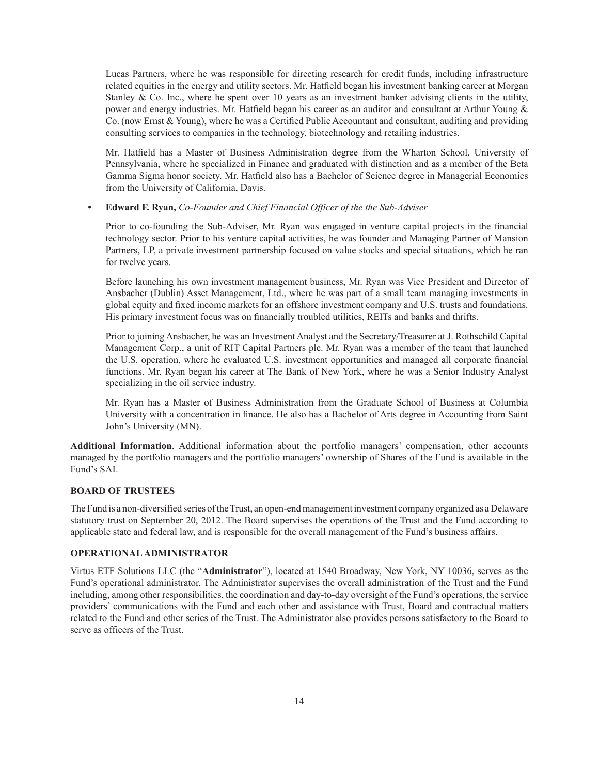Lucas Partners, where he was responsible for directing research for credit funds, including infrastructure related equities in the energy and utility sectors. Mr. Hatfield began his investment banking career at Morgan Stanley & Co. Inc., where he spent over 10 years as an investment banker advising clients in the utility, power and energy industries. Mr. Hatfield began his career as an auditor and consultant at Arthur Young  $\&$ Co. (now Ernst & Young), where he was a Certified Public Accountant and consultant, auditing and providing consulting services to companies in the technology, biotechnology and retailing industries.

Mr. Hatfield has a Master of Business Administration degree from the Wharton School, University of Pennsylvania, where he specialized in Finance and graduated with distinction and as a member of the Beta Gamma Sigma honor society. Mr. Hatfield also has a Bachelor of Science degree in Managerial Economics from the University of California, Davis.

## **• Edward F. Ryan,** *Co-Founder and Chief Financial Officer of the the Sub-Adviser*

Prior to co-founding the Sub-Adviser, Mr. Ryan was engaged in venture capital projects in the financial technology sector. Prior to his venture capital activities, he was founder and Managing Partner of Mansion Partners, LP, a private investment partnership focused on value stocks and special situations, which he ran for twelve years.

Before launching his own investment management business, Mr. Ryan was Vice President and Director of Ansbacher (Dublin) Asset Management, Ltd., where he was part of a small team managing investments in global equity and fixed income markets for an offshore investment company and U.S. trusts and foundations. His primary investment focus was on financially troubled utilities, REITs and banks and thrifts.

Prior to joining Ansbacher, he was an Investment Analyst and the Secretary/Treasurer at J. Rothschild Capital Management Corp., a unit of RIT Capital Partners plc. Mr. Ryan was a member of the team that launched the U.S. operation, where he evaluated U.S. investment opportunities and managed all corporate financial functions. Mr. Ryan began his career at The Bank of New York, where he was a Senior Industry Analyst specializing in the oil service industry.

Mr. Ryan has a Master of Business Administration from the Graduate School of Business at Columbia University with a concentration in finance. He also has a Bachelor of Arts degree in Accounting from Saint John's University (MN).

**Additional Information**. Additional information about the portfolio managers' compensation, other accounts managed by the portfolio managers and the portfolio managers' ownership of Shares of the Fund is available in the Fund's SAI.

#### <span id="page-13-0"></span>**BOARD OF TRUSTEES**

The Fund is a non-diversified series of the Trust, an open-end management investment company organized as a Delaware statutory trust on September 20, 2012. The Board supervises the operations of the Trust and the Fund according to applicable state and federal law, and is responsible for the overall management of the Fund's business affairs.

### <span id="page-13-1"></span>**OPERATIONAL ADMINISTRATOR**

Virtus ETF Solutions LLC (the "**Administrator**"), located at 1540 Broadway, New York, NY 10036, serves as the Fund's operational administrator. The Administrator supervises the overall administration of the Trust and the Fund including, among other responsibilities, the coordination and day-to-day oversight of the Fund's operations, the service providers' communications with the Fund and each other and assistance with Trust, Board and contractual matters related to the Fund and other series of the Trust. The Administrator also provides persons satisfactory to the Board to serve as officers of the Trust.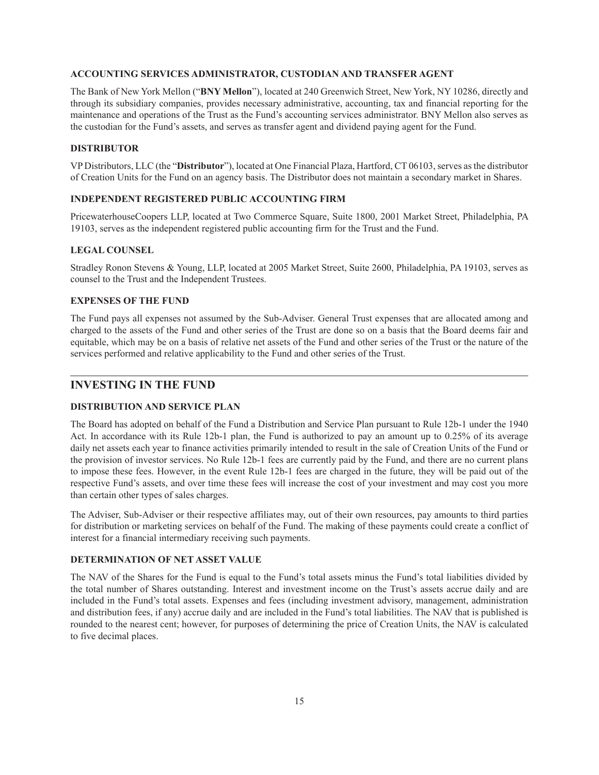#### <span id="page-14-0"></span>**ACCOUNTING SERVICES ADMINISTRATOR, CUSTODIAN AND TRANSFER AGENT**

The Bank of New York Mellon ("**BNY Mellon**"), located at 240 Greenwich Street, New York, NY 10286, directly and through its subsidiary companies, provides necessary administrative, accounting, tax and financial reporting for the maintenance and operations of the Trust as the Fund's accounting services administrator. BNY Mellon also serves as the custodian for the Fund's assets, and serves as transfer agent and dividend paying agent for the Fund.

### <span id="page-14-1"></span>**DISTRIBUTOR**

VP Distributors, LLC (the "**Distributor**"), located at One Financial Plaza, Hartford, CT 06103, serves as the distributor of Creation Units for the Fund on an agency basis. The Distributor does not maintain a secondary market in Shares.

#### <span id="page-14-2"></span>**INDEPENDENT REGISTERED PUBLIC ACCOUNTING FIRM**

PricewaterhouseCoopers LLP, located at Two Commerce Square, Suite 1800, 2001 Market Street, Philadelphia, PA 19103, serves as the independent registered public accounting firm for the Trust and the Fund.

#### <span id="page-14-3"></span>**LEGAL COUNSEL**

Stradley Ronon Stevens & Young, LLP, located at 2005 Market Street, Suite 2600, Philadelphia, PA 19103, serves as counsel to the Trust and the Independent Trustees.

### <span id="page-14-4"></span>**EXPENSES OF THE FUND**

The Fund pays all expenses not assumed by the Sub-Adviser. General Trust expenses that are allocated among and charged to the assets of the Fund and other series of the Trust are done so on a basis that the Board deems fair and equitable, which may be on a basis of relative net assets of the Fund and other series of the Trust or the nature of the services performed and relative applicability to the Fund and other series of the Trust.

# <span id="page-14-5"></span>**INVESTING IN THE FUND**

### <span id="page-14-6"></span>**DISTRIBUTION AND SERVICE PLAN**

The Board has adopted on behalf of the Fund a Distribution and Service Plan pursuant to Rule 12b-1 under the 1940 Act. In accordance with its Rule 12b-1 plan, the Fund is authorized to pay an amount up to 0.25% of its average daily net assets each year to finance activities primarily intended to result in the sale of Creation Units of the Fund or the provision of investor services. No Rule 12b-1 fees are currently paid by the Fund, and there are no current plans to impose these fees. However, in the event Rule 12b-1 fees are charged in the future, they will be paid out of the respective Fund's assets, and over time these fees will increase the cost of your investment and may cost you more than certain other types of sales charges.

The Adviser, Sub-Adviser or their respective affiliates may, out of their own resources, pay amounts to third parties for distribution or marketing services on behalf of the Fund. The making of these payments could create a conflict of interest for a financial intermediary receiving such payments.

#### <span id="page-14-7"></span>**DETERMINATION OF NET ASSET VALUE**

The NAV of the Shares for the Fund is equal to the Fund's total assets minus the Fund's total liabilities divided by the total number of Shares outstanding. Interest and investment income on the Trust's assets accrue daily and are included in the Fund's total assets. Expenses and fees (including investment advisory, management, administration and distribution fees, if any) accrue daily and are included in the Fund's total liabilities. The NAV that is published is rounded to the nearest cent; however, for purposes of determining the price of Creation Units, the NAV is calculated to five decimal places.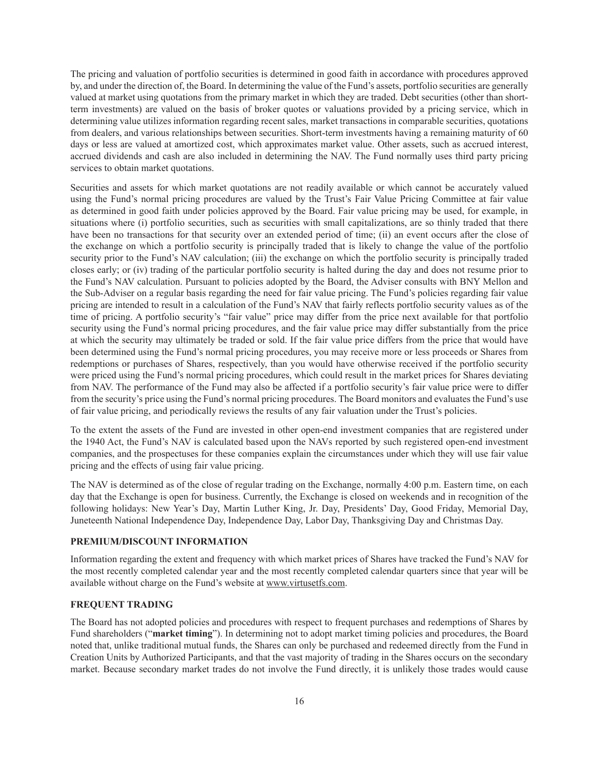The pricing and valuation of portfolio securities is determined in good faith in accordance with procedures approved by, and under the direction of, the Board. In determining the value of the Fund's assets, portfolio securities are generally valued at market using quotations from the primary market in which they are traded. Debt securities (other than shortterm investments) are valued on the basis of broker quotes or valuations provided by a pricing service, which in determining value utilizes information regarding recent sales, market transactions in comparable securities, quotations from dealers, and various relationships between securities. Short-term investments having a remaining maturity of 60 days or less are valued at amortized cost, which approximates market value. Other assets, such as accrued interest, accrued dividends and cash are also included in determining the NAV. The Fund normally uses third party pricing services to obtain market quotations.

Securities and assets for which market quotations are not readily available or which cannot be accurately valued using the Fund's normal pricing procedures are valued by the Trust's Fair Value Pricing Committee at fair value as determined in good faith under policies approved by the Board. Fair value pricing may be used, for example, in situations where (i) portfolio securities, such as securities with small capitalizations, are so thinly traded that there have been no transactions for that security over an extended period of time; (ii) an event occurs after the close of the exchange on which a portfolio security is principally traded that is likely to change the value of the portfolio security prior to the Fund's NAV calculation; (iii) the exchange on which the portfolio security is principally traded closes early; or (iv) trading of the particular portfolio security is halted during the day and does not resume prior to the Fund's NAV calculation. Pursuant to policies adopted by the Board, the Adviser consults with BNY Mellon and the Sub-Adviser on a regular basis regarding the need for fair value pricing. The Fund's policies regarding fair value pricing are intended to result in a calculation of the Fund's NAV that fairly reflects portfolio security values as of the time of pricing. A portfolio security's "fair value" price may differ from the price next available for that portfolio security using the Fund's normal pricing procedures, and the fair value price may differ substantially from the price at which the security may ultimately be traded or sold. If the fair value price differs from the price that would have been determined using the Fund's normal pricing procedures, you may receive more or less proceeds or Shares from redemptions or purchases of Shares, respectively, than you would have otherwise received if the portfolio security were priced using the Fund's normal pricing procedures, which could result in the market prices for Shares deviating from NAV. The performance of the Fund may also be affected if a portfolio security's fair value price were to differ from the security's price using the Fund's normal pricing procedures. The Board monitors and evaluates the Fund's use of fair value pricing, and periodically reviews the results of any fair valuation under the Trust's policies.

To the extent the assets of the Fund are invested in other open-end investment companies that are registered under the 1940 Act, the Fund's NAV is calculated based upon the NAVs reported by such registered open-end investment companies, and the prospectuses for these companies explain the circumstances under which they will use fair value pricing and the effects of using fair value pricing.

The NAV is determined as of the close of regular trading on the Exchange, normally 4:00 p.m. Eastern time, on each day that the Exchange is open for business. Currently, the Exchange is closed on weekends and in recognition of the following holidays: New Year's Day, Martin Luther King, Jr. Day, Presidents' Day, Good Friday, Memorial Day, Juneteenth National Independence Day, Independence Day, Labor Day, Thanksgiving Day and Christmas Day.

#### <span id="page-15-0"></span>**PREMIUM/DISCOUNT INFORMATION**

Information regarding the extent and frequency with which market prices of Shares have tracked the Fund's NAV for the most recently completed calendar year and the most recently completed calendar quarters since that year will be available without charge on the Fund's website at www.virtusetfs.com.

#### <span id="page-15-1"></span>**FREQUENT TRADING**

The Board has not adopted policies and procedures with respect to frequent purchases and redemptions of Shares by Fund shareholders ("**market timing**"). In determining not to adopt market timing policies and procedures, the Board noted that, unlike traditional mutual funds, the Shares can only be purchased and redeemed directly from the Fund in Creation Units by Authorized Participants, and that the vast majority of trading in the Shares occurs on the secondary market. Because secondary market trades do not involve the Fund directly, it is unlikely those trades would cause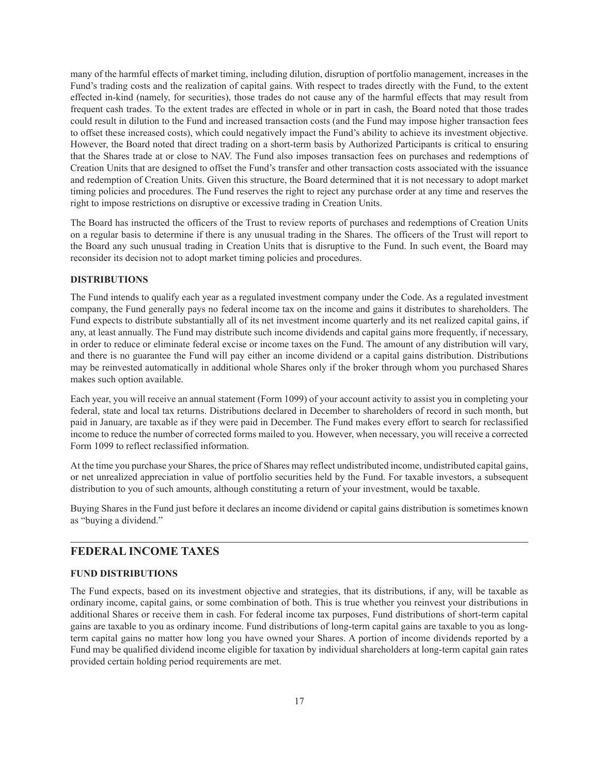many of the harmful effects of market timing, including dilution, disruption of portfolio management, increases in the Fund's trading costs and the realization of capital gains. With respect to trades directly with the Fund, to the extent effected in-kind (namely, for securities), those trades do not cause any of the harmful effects that may result from frequent cash trades. To the extent trades are effected in whole or in part in cash, the Board noted that those trades could result in dilution to the Fund and increased transaction costs (and the Fund may impose higher transaction fees to offset these increased costs), which could negatively impact the Fund's ability to achieve its investment objective. However, the Board noted that direct trading on a short-term basis by Authorized Participants is critical to ensuring that the Shares trade at or close to NAV. The Fund also imposes transaction fees on purchases and redemptions of Creation Units that are designed to offset the Fund's transfer and other transaction costs associated with the issuance and redemption of Creation Units. Given this structure, the Board determined that it is not necessary to adopt market timing policies and procedures. The Fund reserves the right to reject any purchase order at any time and reserves the right to impose restrictions on disruptive or excessive trading in Creation Units.

The Board has instructed the officers of the Trust to review reports of purchases and redemptions of Creation Units on a regular basis to determine if there is any unusual trading in the Shares. The officers of the Trust will report to the Board any such unusual trading in Creation Units that is disruptive to the Fund. In such event, the Board may reconsider its decision not to adopt market timing policies and procedures.

### <span id="page-16-0"></span>**DISTRIBUTIONS**

The Fund intends to qualify each year as a regulated investment company under the Code. As a regulated investment company, the Fund generally pays no federal income tax on the income and gains it distributes to shareholders. The Fund expects to distribute substantially all of its net investment income quarterly and its net realized capital gains, if any, at least annually. The Fund may distribute such income dividends and capital gains more frequently, if necessary, in order to reduce or eliminate federal excise or income taxes on the Fund. The amount of any distribution will vary, and there is no guarantee the Fund will pay either an income dividend or a capital gains distribution. Distributions may be reinvested automatically in additional whole Shares only if the broker through whom you purchased Shares makes such option available.

Each year, you will receive an annual statement (Form 1099) of your account activity to assist you in completing your federal, state and local tax returns. Distributions declared in December to shareholders of record in such month, but paid in January, are taxable as if they were paid in December. The Fund makes every effort to search for reclassified income to reduce the number of corrected forms mailed to you. However, when necessary, you will receive a corrected Form 1099 to reflect reclassified information.

At the time you purchase your Shares, the price of Shares may reflect undistributed income, undistributed capital gains, or net unrealized appreciation in value of portfolio securities held by the Fund. For taxable investors, a subsequent distribution to you of such amounts, although constituting a return of your investment, would be taxable.

Buying Shares in the Fund just before it declares an income dividend or capital gains distribution is sometimes known as "buying a dividend."

# <span id="page-16-1"></span>**FEDERAL INCOME TAXES**

#### <span id="page-16-2"></span>**FUND DISTRIBUTIONS**

The Fund expects, based on its investment objective and strategies, that its distributions, if any, will be taxable as ordinary income, capital gains, or some combination of both. This is true whether you reinvest your distributions in additional Shares or receive them in cash. For federal income tax purposes, Fund distributions of short-term capital gains are taxable to you as ordinary income. Fund distributions of long-term capital gains are taxable to you as longterm capital gains no matter how long you have owned your Shares. A portion of income dividends reported by a Fund may be qualified dividend income eligible for taxation by individual shareholders at long-term capital gain rates provided certain holding period requirements are met.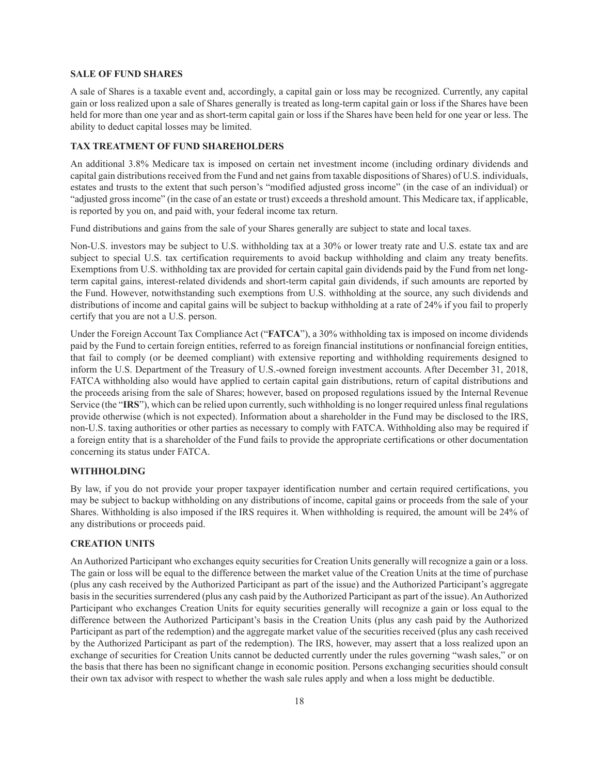#### <span id="page-17-0"></span>**SALE OF FUND SHARES**

A sale of Shares is a taxable event and, accordingly, a capital gain or loss may be recognized. Currently, any capital gain or loss realized upon a sale of Shares generally is treated as long-term capital gain or loss if the Shares have been held for more than one year and as short-term capital gain or loss if the Shares have been held for one year or less. The ability to deduct capital losses may be limited.

#### <span id="page-17-1"></span>**TAX TREATMENT OF FUND SHAREHOLDERS**

An additional 3.8% Medicare tax is imposed on certain net investment income (including ordinary dividends and capital gain distributions received from the Fund and net gains from taxable dispositions of Shares) of U.S. individuals, estates and trusts to the extent that such person's "modified adjusted gross income" (in the case of an individual) or "adjusted gross income" (in the case of an estate or trust) exceeds a threshold amount. This Medicare tax, if applicable, is reported by you on, and paid with, your federal income tax return.

Fund distributions and gains from the sale of your Shares generally are subject to state and local taxes.

Non-U.S. investors may be subject to U.S. withholding tax at a 30% or lower treaty rate and U.S. estate tax and are subject to special U.S. tax certification requirements to avoid backup withholding and claim any treaty benefits. Exemptions from U.S. withholding tax are provided for certain capital gain dividends paid by the Fund from net longterm capital gains, interest-related dividends and short-term capital gain dividends, if such amounts are reported by the Fund. However, notwithstanding such exemptions from U.S. withholding at the source, any such dividends and distributions of income and capital gains will be subject to backup withholding at a rate of 24% if you fail to properly certify that you are not a U.S. person.

Under the Foreign Account Tax Compliance Act ("**FATCA**"), a 30% withholding tax is imposed on income dividends paid by the Fund to certain foreign entities, referred to as foreign financial institutions or nonfinancial foreign entities, that fail to comply (or be deemed compliant) with extensive reporting and withholding requirements designed to inform the U.S. Department of the Treasury of U.S.-owned foreign investment accounts. After December 31, 2018, FATCA withholding also would have applied to certain capital gain distributions, return of capital distributions and the proceeds arising from the sale of Shares; however, based on proposed regulations issued by the Internal Revenue Service (the "IRS"), which can be relied upon currently, such withholding is no longer required unless final regulations provide otherwise (which is not expected). Information about a shareholder in the Fund may be disclosed to the IRS, non-U.S. taxing authorities or other parties as necessary to comply with FATCA. Withholding also may be required if a foreign entity that is a shareholder of the Fund fails to provide the appropriate certifications or other documentation concerning its status under FATCA.

### <span id="page-17-2"></span>**WITHHOLDING**

By law, if you do not provide your proper taxpayer identification number and certain required certifications, you may be subject to backup withholding on any distributions of income, capital gains or proceeds from the sale of your Shares. Withholding is also imposed if the IRS requires it. When withholding is required, the amount will be 24% of any distributions or proceeds paid.

### <span id="page-17-3"></span>**CREATION UNITS**

An Authorized Participant who exchanges equity securities for Creation Units generally will recognize a gain or a loss. The gain or loss will be equal to the difference between the market value of the Creation Units at the time of purchase (plus any cash received by the Authorized Participant as part of the issue) and the Authorized Participant's aggregate basis in the securities surrendered (plus any cash paid by the Authorized Participant as part of the issue). An Authorized Participant who exchanges Creation Units for equity securities generally will recognize a gain or loss equal to the difference between the Authorized Participant's basis in the Creation Units (plus any cash paid by the Authorized Participant as part of the redemption) and the aggregate market value of the securities received (plus any cash received by the Authorized Participant as part of the redemption). The IRS, however, may assert that a loss realized upon an exchange of securities for Creation Units cannot be deducted currently under the rules governing "wash sales," or on the basis that there has been no significant change in economic position. Persons exchanging securities should consult their own tax advisor with respect to whether the wash sale rules apply and when a loss might be deductible.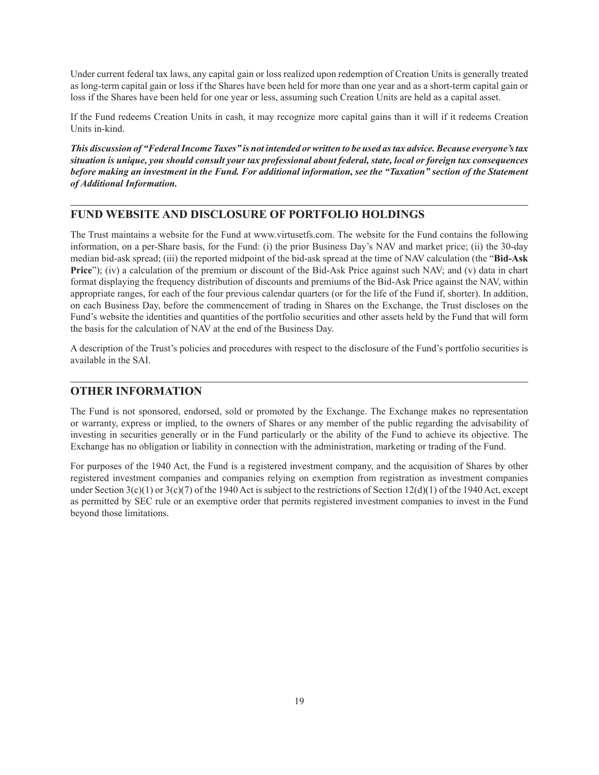Under current federal tax laws, any capital gain or loss realized upon redemption of Creation Units is generally treated as long-term capital gain or loss if the Shares have been held for more than one year and as a short-term capital gain or loss if the Shares have been held for one year or less, assuming such Creation Units are held as a capital asset.

If the Fund redeems Creation Units in cash, it may recognize more capital gains than it will if it redeems Creation Units in-kind.

*This discussion of "Federal Income Taxes" is not intended or written to be used as tax advice. Because everyone's tax situation is unique, you should consult your tax professional about federal, state, local or foreign tax consequences before making an investment in the Fund. For additional information, see the "Taxation" section of the Statement of Additional Information.*

# <span id="page-18-0"></span>**FUND WEBSITE AND DISCLOSURE OF PORTFOLIO HOLDINGS**

The Trust maintains a website for the Fund at www.virtusetfs.com. The website for the Fund contains the following information, on a per-Share basis, for the Fund: (i) the prior Business Day's NAV and market price; (ii) the 30-day median bid-ask spread; (iii) the reported midpoint of the bid-ask spread at the time of NAV calculation (the "**Bid-Ask Price**"); (iv) a calculation of the premium or discount of the Bid-Ask Price against such NAV; and (v) data in chart format displaying the frequency distribution of discounts and premiums of the Bid-Ask Price against the NAV, within appropriate ranges, for each of the four previous calendar quarters (or for the life of the Fund if, shorter). In addition, on each Business Day, before the commencement of trading in Shares on the Exchange, the Trust discloses on the Fund's website the identities and quantities of the portfolio securities and other assets held by the Fund that will form the basis for the calculation of NAV at the end of the Business Day.

A description of the Trust's policies and procedures with respect to the disclosure of the Fund's portfolio securities is available in the SAI.

# <span id="page-18-1"></span>**OTHER INFORMATION**

The Fund is not sponsored, endorsed, sold or promoted by the Exchange. The Exchange makes no representation or warranty, express or implied, to the owners of Shares or any member of the public regarding the advisability of investing in securities generally or in the Fund particularly or the ability of the Fund to achieve its objective. The Exchange has no obligation or liability in connection with the administration, marketing or trading of the Fund.

For purposes of the 1940 Act, the Fund is a registered investment company, and the acquisition of Shares by other registered investment companies and companies relying on exemption from registration as investment companies under Section 3(c)(1) or 3(c)(7) of the 1940 Act is subject to the restrictions of Section 12(d)(1) of the 1940 Act, except as permitted by SEC rule or an exemptive order that permits registered investment companies to invest in the Fund beyond those limitations.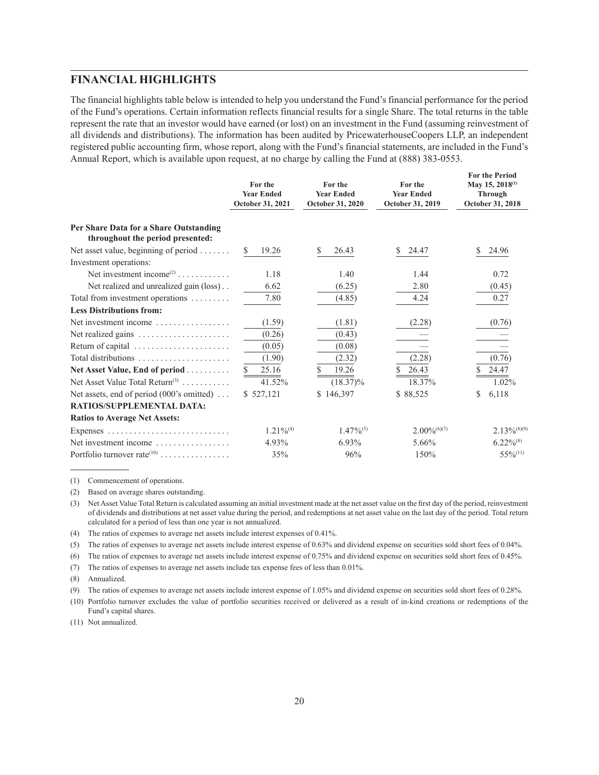# <span id="page-19-0"></span>**FINANCIAL HIGHLIGHTS**

The financial highlights table below is intended to help you understand the Fund's financial performance for the period of the Fund's operations. Certain information reflects financial results for a single Share. The total returns in the table represent the rate that an investor would have earned (or lost) on an investment in the Fund (assuming reinvestment of all dividends and distributions). The information has been audited by PricewaterhouseCoopers LLP, an independent registered public accounting firm, whose report, along with the Fund's financial statements, are included in the Fund's Annual Report, which is available upon request, at no charge by calling the Fund at (888) 383-0553.

|                                                                            | For the<br><b>Year Ended</b><br>October 31, 2021 | For the<br><b>Year Ended</b><br>October 31, 2020 | For the<br><b>Year Ended</b><br>October 31, 2019 | <b>For the Period</b><br>May 15, 2018 <sup>(1)</sup><br><b>Through</b><br>October 31, 2018 |
|----------------------------------------------------------------------------|--------------------------------------------------|--------------------------------------------------|--------------------------------------------------|--------------------------------------------------------------------------------------------|
| Per Share Data for a Share Outstanding<br>throughout the period presented: |                                                  |                                                  |                                                  |                                                                                            |
| Net asset value, beginning of period $\dots \dots$                         | 19.26<br>S.                                      | 26.43<br>S                                       | 24.47<br>S                                       | 24.96<br>S.                                                                                |
| Investment operations:                                                     |                                                  |                                                  |                                                  |                                                                                            |
| Net investment income <sup>(2)</sup>                                       | 1.18                                             | 1.40                                             | 1.44                                             | 0.72                                                                                       |
| Net realized and unrealized gain (loss)                                    | 6.62                                             | (6.25)                                           | 2.80                                             | (0.45)                                                                                     |
| Total from investment operations                                           | 7.80                                             | (4.85)                                           | 4.24                                             | 0.27                                                                                       |
| <b>Less Distributions from:</b>                                            |                                                  |                                                  |                                                  |                                                                                            |
| Net investment income $\ldots, \ldots, \ldots, \ldots$                     | (1.59)                                           | (1.81)                                           | (2.28)                                           | (0.76)                                                                                     |
| Net realized gains $\dots \dots \dots \dots \dots \dots$                   | (0.26)                                           | (0.43)                                           |                                                  |                                                                                            |
| Return of capital                                                          | (0.05)                                           | (0.08)                                           |                                                  |                                                                                            |
| Total distributions $\ldots, \ldots, \ldots, \ldots, \ldots$               | (1.90)                                           | (2.32)                                           | (2.28)                                           | (0.76)                                                                                     |
| Net Asset Value, End of period                                             | \$<br>25.16                                      | \$<br>19.26                                      | 26.43                                            | 24.47                                                                                      |
| Net Asset Value Total Return $(3)$                                         | 41.52%                                           | $(18.37)\%$                                      | 18.37%                                           | 1.02%                                                                                      |
| Net assets, end of period $(000)$ 's omitted)                              | \$527,121                                        | \$146,397                                        | \$88,525                                         | 6,118<br>\$                                                                                |
| RATIOS/SUPPLEMENTAL DATA:                                                  |                                                  |                                                  |                                                  |                                                                                            |
| <b>Ratios to Average Net Assets:</b>                                       |                                                  |                                                  |                                                  |                                                                                            |
|                                                                            | $1.21\%^{(4)}$                                   | $1.47\%^{(5)}$                                   | $2.00\%$ <sup>(6)(7)</sup>                       | $2.13\%^{(8)(9)}$                                                                          |
| Net investment income $\ldots, \ldots, \ldots, \ldots$                     | 4.93%                                            | 6.93%                                            | 5.66%                                            | $6.22\%^{(8)}$                                                                             |
| Portfolio turnover rate <sup><math>(10)</math></sup>                       | 35%                                              | 96%                                              | 150%                                             | $55\%/11)$                                                                                 |

(1) Commencement of operations.

(2) Based on average shares outstanding.

(3) NetAsset Value Total Return is calculated assuming an initial investment made at the net asset value on the first day of the period, reinvestment of dividends and distributions at net asset value during the period, and redemptions at net asset value on the last day of the period. Total return calculated for a period of less than one year is not annualized.

(4) The ratios of expenses to average net assets include interest expenses of 0.41%.

(5) The ratios of expenses to average net assets include interest expense of 0.63% and dividend expense on securities sold short fees of 0.04%.

(6) The ratios of expenses to average net assets include interest expense of 0.75% and dividend expense on securities sold short fees of 0.45%.

(7) The ratios of expenses to average net assets include tax expense fees of less than 0.01%.

(8) Annualized.

(9) The ratios of expenses to average net assets include interest expense of 1.05% and dividend expense on securities sold short fees of 0.28%.

(10) Portfolio turnover excludes the value of portfolio securities received or delivered as a result of in-kind creations or redemptions of the Fund's capital shares.

(11) Not annualized.